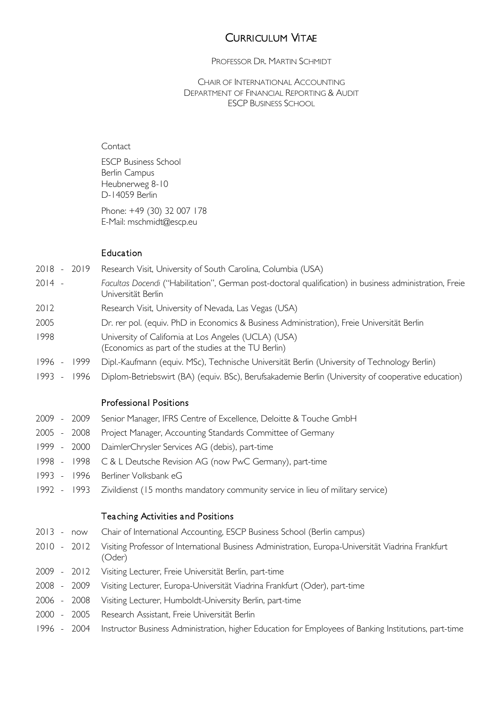#### PROFESSOR DR. MARTIN SCHMIDT

CHAIR OF INTERNATIONAL ACCOUNTING DEPARTMENT OF FINANCIAL REPORTING & AUDIT ESCP BUSINESS SCHOOL

### **Contact**

ESCP Business School Berlin Campus Heubnerweg 8-10 D-14059 Berlin

Phone: +49 (30) 32 007 178 E-Mail: mschmidt@escp.eu

#### Education

- 2018 2019 Research Visit, University of South Carolina, Columbia (USA)
- 2014 *Facultas Docendi* ("Habilitation", German post-doctoral qualification) in business administration, Freie Universität Berlin
- 2012 Research Visit, University of Nevada, Las Vegas (USA)
- 2005 Dr. rer pol. (equiv. PhD in Economics & Business Administration), Freie Universität Berlin
- 1998 University of California at Los Angeles (UCLA) (USA)
- (Economics as part of the studies at the TU Berlin)
- 1996 1999 Dipl.-Kaufmann (equiv. MSc), Technische Universität Berlin (University of Technology Berlin)
- 1993 1996 Diplom-Betriebswirt (BA) (equiv. BSc), Berufsakademie Berlin (University of cooperative education)

### Professional Positions

- 2009 2009 Senior Manager, IFRS Centre of Excellence, Deloitte & Touche GmbH
- 2005 2008 Project Manager, Accounting Standards Committee of Germany
- 1999 2000 DaimlerChrysler Services AG (debis), part-time
- 1998 1998 C & L Deutsche Revision AG (now PwC Germany), part-time
- 1993 1996 Berliner Volksbank eG
- 1992 1993 Zivildienst (15 months mandatory community service in lieu of military service)

### Teaching Activities and Positions

- 2013 now [Chair of International Accounting,](http://www.escpeurope.eu/nc/faculty-research/academic-departments-faculty-escp-europe-business-school/financial-reporting-and-audit-department-faculty-escp-europe-business-school/) ESCP Business School (Berlin campus)
- 2010 2012 Visiting Professor of International Business Administration, Europa-Universität Viadrina Frankfurt (Oder)
- 2009 2012 Visiting Lecturer, Freie Universität Berlin, part-time
- 2008 2009 Visiting Lecturer, Europa-Universität Viadrina Frankfurt (Oder), part-time
- 2006 2008 Visiting Lecturer, Humboldt-University Berlin, part-time
- 2000 2005 Research Assistant, Freie Universität Berlin
- 1996 2004 Instructor Business Administration, higher Education for Employees of Banking Institutions, part-time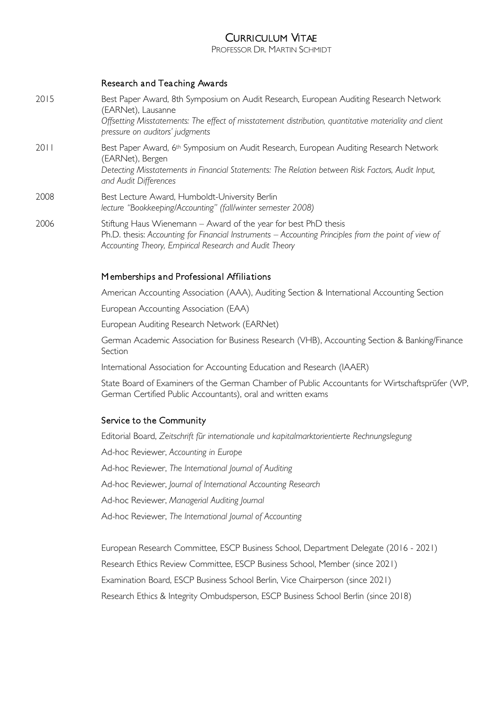PROFESSOR DR. MARTIN SCHMIDT

### Research and Teaching Awards

| 2015 | Best Paper Award, 8th Symposium on Audit Research, European Auditing Research Network<br>(EARNet), Lausanne<br>Offsetting Misstatements: The effect of misstatement distribution, quantitative materiality and client<br>pressure on auditors' judgments |
|------|----------------------------------------------------------------------------------------------------------------------------------------------------------------------------------------------------------------------------------------------------------|
| 2011 | Best Paper Award, 6 <sup>th</sup> Symposium on Audit Research, European Auditing Research Network<br>(EARNet), Bergen<br>Detecting Misstatements in Financial Statements: The Relation between Risk Factors, Audit Input,<br>and Audit Differences       |
| 2008 | Best Lecture Award, Humboldt-University Berlin<br>lecture "Bookkeeping/Accounting" (fall/winter semester 2008)                                                                                                                                           |
| 2006 | Stiftung Haus Wienemann - Award of the year for best PhD thesis<br>Ph.D. thesis: Accounting for Financial Instruments - Accounting Principles from the point of view of<br>Accounting Theory, Empirical Research and Audit Theory                        |

### M emberships and Professional Affiliations

American Accounting Association (AAA), Auditing Section & International Accounting Section

European Accounting Association (EAA)

European Auditing Research Network (EARNet)

German Academic Association for Business Research (VHB), Accounting Section & Banking/Finance **Section** 

International Association for Accounting Education and Research (IAAER)

[State Board of Examiners of the German Chamber of Public Accountants for Wirtschaftsprüfer \(WP,](http://www.wpk.de/)  [German Certified Public Accountants\),](http://www.wpk.de/) oral and written exams

#### Service to the Community

Editorial Board, *Zeitschrift für internationale und kapitalmarktorientierte Rechnungslegung* Ad-hoc Reviewer, *Accounting in Europe* Ad-hoc Reviewer, *The International Journal of Auditing* Ad-hoc Reviewer, *Journal of International Accounting Research* Ad-hoc Reviewer, *Managerial Auditing Journal*  Ad-hoc Reviewer, *The International Journal of Accounting*

European Research Committee, ESCP Business School, Department Delegate (2016 - 2021) Research Ethics Review Committee, ESCP Business School, Member (since 2021) Examination Board, ESCP Business School Berlin, Vice Chairperson (since 2021) Research Ethics & Integrity Ombudsperson, ESCP Business School Berlin (since 2018)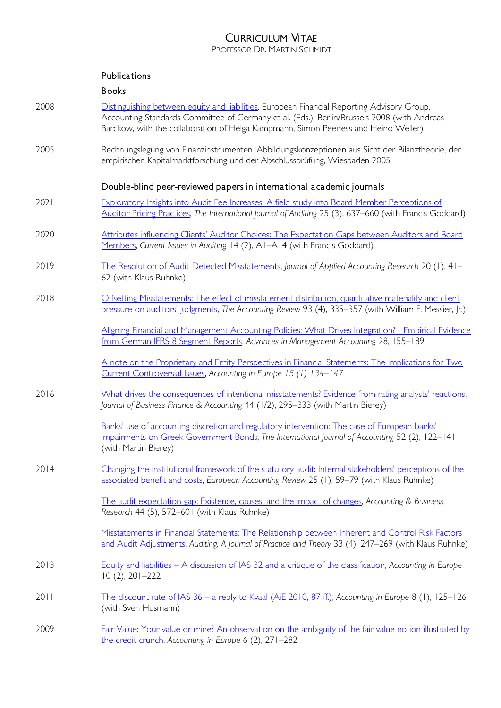PROFESSOR DR. MARTIN SCHMIDT

| Publications |
|--------------|
|              |

Books

- 2008 [Distinguishing between equity and liabilities,](http://www.efrag.org/Assets/Download?assetUrl=%2Fsites%2Fwebpublishing%2FSiteAssets%2FEuropean%2520Discussion%2520Paper%2520on%2520Equity%2520and%2520Liabilities.pdf) European Financial Reporting Advisory Group, Accounting Standards Committee of Germany et al. (Eds.), Berlin/Brussels 2008 (with Andreas Barckow, with the collaboration of Helga Kampmann, Simon Peerless and Heino Weller) 2005 Rechnungslegung von Finanzinstrumenten. Abbildungskonzeptionen aus Sicht der Bilanztheorie, der empirischen Kapitalmarktforschung und der Abschlussprüfung, Wiesbaden 2005 Double-blind peer-reviewed papers in international academic journals 2021 Exploratory Insights into Audit Fee Increases: A field study into Board Member Perceptions of [Auditor Pricing Practices,](http://dx.doi.org/10.1111/ijau.12242) *The International Journal of Auditing* 25 (3), 637–660 (with Francis Goddard) 2020 Attributes influencing Clients' Auditor Choices: The Expectation Gaps between Auditors and Board [Members,](https://aaajournals.org/doi/pdf/10.2308/ciia-19-026) *Current Issues in Auditing* 14 (2), A1–A14 (with Francis Goddard) 2019 [The Resolution of Audit-Detected Misstatements,](https://www.emeraldinsight.com/eprint/DMESFFJZWZ2ATBTQRF7B/full) *Journal of Applied Accounting Research* 20 (1), 41– 62 (with Klaus Ruhnke) 2018 **Offsetting Misstatements: The effect of misstatement distribution, quantitative materiality and client** [pressure on auditors' judgments](https://doi.org/10.2308/accr-51954), *The Accounting Review* 93 (4), 335–357 (with William F. Messier, Jr.) [Aligning Financial and Management Accounting Policies: What Drives Integration? -](https://doi.org/10.1108/S1474-787120170000028006) Empirical Evidence [from German IFRS 8 Segment Reports,](https://doi.org/10.1108/S1474-787120170000028006) *Advances in Management Accounting* 28, 155–189 [A note on the Proprietary and Entity Perspectives in Financial Statements: The Implications for Two](https://papers.ssrn.com/sol3/papers.cfm?abstract_id=3048790)  [Current Controversial Issues,](https://papers.ssrn.com/sol3/papers.cfm?abstract_id=3048790) *Accounting in Europe 15 (1) 134–147* 2016 [What drives the consequences of intentional misstatements? Evidence from rating analysts' reactions](http://onlinelibrary.wiley.com/doi/10.1111/jbfa.12229/full), *Journal of Business Finance & Accounting* 44 (1/2), 295–333 (with Martin Bierey) [Banks' use of accounting discretion and regulatory intervention: The case of European banks'](http://dx.doi.org/10.1016/j.intacc.2017.01.002)  [impairments on Greek Government Bonds,](http://dx.doi.org/10.1016/j.intacc.2017.01.002) *The International Journal of Accounting* 52 (2), 122–141 (with Martin Bierey) 2014 [Changing the institutional framework of the statutory audit: Internal stakeholders' perceptions of the](http://dx.doi.org/10.1080/09638180.2014.939683)  [associated benefit and costs,](http://dx.doi.org/10.1080/09638180.2014.939683) *European Accounting Review* 25 (1), 59–79 (with Klaus Ruhnke) [The audit expectation gap: Existence, causes, and the impact of changes,](http://dx.doi.org/10.1080/00014788.2014.929519) *Accounting & Business Research* 44 (5), 572–601 (with Klaus Ruhnke) [Misstatements in Financial Statements: The Relationship between Inherent and Control Risk Factors](http://aaajournals.org/doi/pdf/10.2308/ajpt-50784)  [and Audit Adjustments,](http://aaajournals.org/doi/pdf/10.2308/ajpt-50784) *Auditing: A Journal of Practice and Theory* 33 (4), 247–269 (with Klaus Ruhnke)
- 2013 Equity and liabilities [A discussion of IAS 32 and a critique of the classification,](http://dx.doi.org/10.1080/17449480.2013.834727) *Accounting in Europe* 10 (2), 201–222
- 2011 The discount rate of IAS 36 [a reply to Kvaal \(AiE 2010, 87 ff.\),](http://www.tandfonline.com/doi/full/10.1080/17449480.2011.574407) *Accounting in Europe* 8 (1), 125–126 (with Sven Husmann)
- 2009 [Fair Value: Your value or mine? An observation on the ambiguity of the fair value notion illustrated by](http://dx.doi.org/10.1080/17449480903115829)  [the credit crunch,](http://dx.doi.org/10.1080/17449480903115829) *Accounting in Europe* 6 (2), 271–282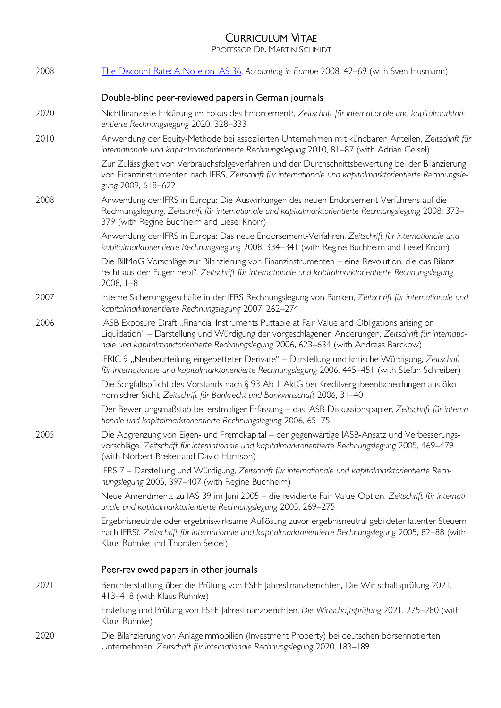PROFESSOR DR. MARTIN SCHMIDT

| 2008 | The Discount Rate: A Note on IAS 36, Accounting in Europe 2008, 42-69 (with Sven Husmann)                                                                                                                                                                                                     |
|------|-----------------------------------------------------------------------------------------------------------------------------------------------------------------------------------------------------------------------------------------------------------------------------------------------|
|      | Double-blind peer-reviewed papers in German journals                                                                                                                                                                                                                                          |
| 2020 | Nichtfinanzielle Erklärung im Fokus des Enforcement?, Zeitschrift für internationale und kapitalmarktori-<br>entierte Rechnungslegung 2020, 328-333                                                                                                                                           |
| 2010 | Anwendung der Equity-Methode bei assoziierten Unternehmen mit kündbaren Anteilen, Zeitschrift für<br>internationale und kapitalmarktorientierte Rechnungslegung 2010, 81-87 (with Adrian Geisel)                                                                                              |
|      | Zur Zulässigkeit von Verbrauchsfolgeverfahren und der Durchschnittsbewertung bei der Bilanzierung<br>von Finanzinstrumenten nach IFRS, Zeitschrift für internationale und kapitalmarktorientierte Rechnungsle-<br>gung 2009, 618-622                                                          |
| 2008 | Anwendung der IFRS in Europa: Die Auswirkungen des neuen Endorsement-Verfahrens auf die<br>Rechnungslegung, Zeitschrift für internationale und kapitalmarktorientierte Rechnungslegung 2008, 373-<br>379 (with Regine Buchheim and Liesel Knorr)                                              |
|      | Anwendung der IFRS in Europa: Das neue Endorsement-Verfahren, Zeitschrift für internationale und<br>kapitalmarktorientierte Rechnungslegung 2008, 334-341 (with Regine Buchheim and Liesel Knorr)                                                                                             |
|      | Die BilMoG-Vorschläge zur Bilanzierung von Finanzinstrumenten - eine Revolution, die das Bilanz-<br>recht aus den Fugen hebt?, Zeitschrift für internationale und kapitalmarktorientierte Rechnungslegung<br>$2008, 1 - 8$                                                                    |
| 2007 | Interne Sicherungsgeschäfte in der IFRS-Rechnungslegung von Banken, Zeitschrift für internationale und<br>kapitalmarktorientierte Rechnungslegung 2007, 262-274                                                                                                                               |
| 2006 | IASB Exposure Draft "Financial Instruments Puttable at Fair Value and Obligations arising on<br>Liquidation" – Darstellung und Würdigung der vorgeschlagenen Änderungen, Zeitschrift für internatio-<br>nale und kapitalmarktorientierte Rechnungslegung 2006, 623-634 (with Andreas Barckow) |
|      | IFRIC 9 "Neubeurteilung eingebetteter Derivate" - Darstellung und kritische Würdigung, Zeitschrift<br>für internationale und kapitalmarktorientierte Rechnungslegung 2006, 445-451 (with Stefan Schreiber)                                                                                    |
|      | Die Sorgfaltspflicht des Vorstands nach § 93 Ab   AktG bei Kreditvergabeentscheidungen aus öko-<br>nomischer Sicht, Zeitschrift für Bankrecht und Bankwirtschaft 2006, 31-40                                                                                                                  |
|      | Der Bewertungsmaßstab bei erstmaliger Erfassung - das IASB-Diskussionspapier, Zeitschrift für interna-<br>tionale und kapitalmarktorientierte Rechnungslegung 2006, 65-75                                                                                                                     |
| 2005 | Die Abgrenzung von Eigen- und Fremdkapital - der gegenwärtige IASB-Ansatz und Verbesserungs-<br>vorschläge, Zeitschrift für internationale und kapitalmarktorientierte Rechnungslegung 2005, 469-479<br>(with Norbert Breker and David Harrison)                                              |
|      | IFRS 7 - Darstellung und Würdigung, Zeitschrift für internationale und kapitalmarktorientierte Rech-<br>nungslegung 2005, 397–407 (with Regine Buchheim)                                                                                                                                      |
|      | Neue Amendments zu IAS 39 im Juni 2005 - die revidierte Fair Value-Option, Zeitschrift für internati-<br>onale und kapitalmarktorientierte Rechnungslegung 2005, 269-275                                                                                                                      |
|      | Ergebnisneutrale oder ergebniswirksame Auflösung zuvor ergebnisneutral gebildeter latenter Steuern<br>nach IFRS?, Zeitschrift für internationale und kapitalmarktorientierte Rechnungslegung 2005, 82–88 (with<br>Klaus Ruhnke and Thorsten Seidel)                                           |
|      | Peer-reviewed papers in other journals                                                                                                                                                                                                                                                        |
| 2021 | Berichterstattung über die Prüfung von ESEF-Jahresfinanzberichten, Die Wirtschaftsprüfung 2021,<br>413-418 (with Klaus Ruhnke)                                                                                                                                                                |
|      | Erstellung und Prüfung von ESEF-Jahresfinanzberichten, Die Wirtschaftsprüfung 2021, 275-280 (with<br>Klaus Ruhnke)                                                                                                                                                                            |
| 2020 | Die Bilanzierung von Anlageimmobilien (Investment Property) bei deutschen börsennotierten<br>Unternehmen, Zeitschrift für internationale Rechnungslegung 2020, 183-189                                                                                                                        |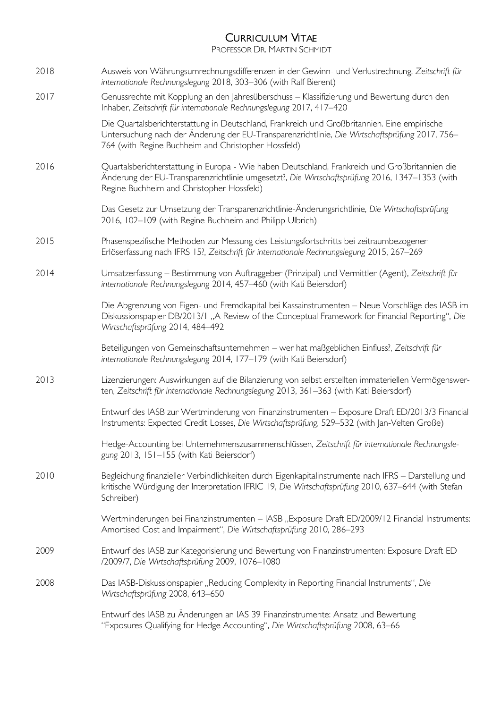PROFESSOR DR. MARTIN SCHMIDT

2018 Ausweis von Währungsumrechnungsdifferenzen in der Gewinn- und Verlustrechnung, *Zeitschrift für internationale Rechnungslegung* 2018, 303–306 (with Ralf Bierent) 2017 Genussrechte mit Kopplung an den Jahresüberschuss – Klassifizierung und Bewertung durch den Inhaber, *Zeitschrift für internationale Rechnungslegung* 2017, 417–420 Die Quartalsberichterstattung in Deutschland, Frankreich und Großbritannien. Eine empirische Untersuchung nach der Änderung der EU-Transparenzrichtlinie, *Die Wirtschaftsprüfung* 2017, 756– 764 (with Regine Buchheim and Christopher Hossfeld) 2016 Quartalsberichterstattung in Europa - Wie haben Deutschland, Frankreich und Großbritannien die Änderung der EU-Transparenzrichtlinie umgesetzt?, *Die Wirtschaftsprüfung* 2016, 1347–1353 (with Regine Buchheim and Christopher Hossfeld) Das Gesetz zur Umsetzung der Transparenzrichtlinie-Änderungsrichtlinie, *Die Wirtschaftsprüfung* 2016, 102–109 (with Regine Buchheim and Philipp Ulbrich) 2015 Phasenspezifische Methoden zur Messung des Leistungsfortschritts bei zeitraumbezogener Erlöserfassung nach IFRS 15?, *Zeitschrift für internationale Rechnungslegung* 2015, 267–269 2014 Umsatzerfassung – Bestimmung von Auftraggeber (Prinzipal) und Vermittler (Agent), *Zeitschrift für internationale Rechnungslegung* 2014, 457–460 (with Kati Beiersdorf) Die Abgrenzung von Eigen- und Fremdkapital bei Kassainstrumenten – Neue Vorschläge des IASB im Diskussionspapier DB/2013/1 "A Review of the Conceptual Framework for Financial Reporting", *Die Wirtschaftsprüfung* 2014, 484–492 Beteiligungen von Gemeinschaftsunternehmen – wer hat maßgeblichen Einfluss?, *Zeitschrift für internationale Rechnungslegung* 2014, 177–179 (with Kati Beiersdorf) 2013 Lizenzierungen: Auswirkungen auf die Bilanzierung von selbst erstellten immateriellen Vermögenswerten, *Zeitschrift für internationale Rechnungslegung* 2013, 361–363 (with Kati Beiersdorf) Entwurf des IASB zur Wertminderung von Finanzinstrumenten – Exposure Draft ED/2013/3 Financial Instruments: Expected Credit Losses, *Die Wirtschaftsprüfung*, 529–532 (with Jan-Velten Große) Hedge-Accounting bei Unternehmenszusammenschlüssen, *Zeitschrift für internationale Rechnungslegung* 2013, 151–155 (with Kati Beiersdorf) 2010 Begleichung finanzieller Verbindlichkeiten durch Eigenkapitalinstrumente nach IFRS – Darstellung und kritische Würdigung der Interpretation IFRIC 19, *Die Wirtschaftsprüfung* 2010, 637–644 (with Stefan Schreiber)

> Wertminderungen bei Finanzinstrumenten – IASB "Exposure Draft ED/2009/12 Financial Instruments: Amortised Cost and Impairment", *Die Wirtschaftsprüfung* 2010, 286–293

- 2009 Entwurf des IASB zur Kategorisierung und Bewertung von Finanzinstrumenten: Exposure Draft ED /2009/7, *Die Wirtschaftsprüfung* 2009, 1076–1080
- 2008 Das IASB-Diskussionspapier "Reducing Complexity in Reporting Financial Instruments", *Die Wirtschaftsprüfung* 2008, 643–650

Entwurf des IASB zu Änderungen an IAS 39 Finanzinstrumente: Ansatz und Bewertung "Exposures Qualifying for Hedge Accounting", *Die Wirtschaftsprüfung* 2008, 63–66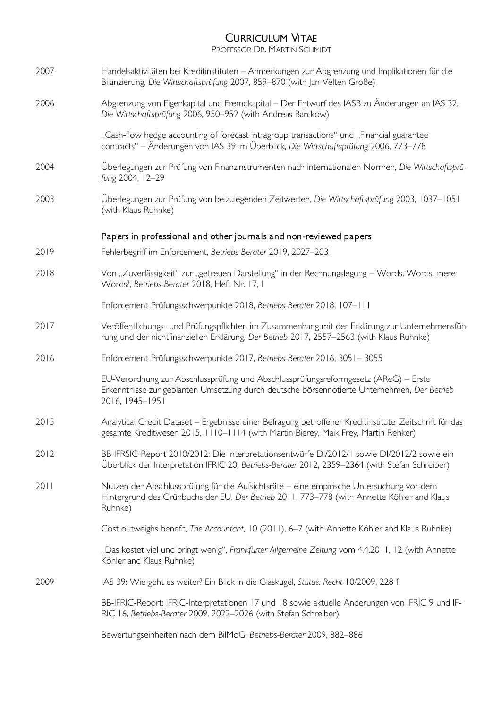PROFESSOR DR. MARTIN SCHMIDT

| 2007 | Handelsaktivitäten bei Kreditinstituten - Anmerkungen zur Abgrenzung und Implikationen für die<br>Bilanzierung, Die Wirtschaftsprüfung 2007, 859-870 (with Jan-Velten Große)                          |
|------|-------------------------------------------------------------------------------------------------------------------------------------------------------------------------------------------------------|
| 2006 | Abgrenzung von Eigenkapital und Fremdkapital – Der Entwurf des IASB zu Änderungen an IAS 32,<br>Die Wirtschaftsprüfung 2006, 950-952 (with Andreas Barckow)                                           |
|      | "Cash-flow hedge accounting of forecast intragroup transactions" und "Financial guarantee<br>contracts" – Änderungen von IAS 39 im Überblick, Die Wirtschaftsprüfung 2006, 773–778                    |
| 2004 | Überlegungen zur Prüfung von Finanzinstrumenten nach internationalen Normen, Die Wirtschaftsprü-<br>fung 2004, 12-29                                                                                  |
| 2003 | Überlegungen zur Prüfung von beizulegenden Zeitwerten, Die Wirtschaftsprüfung 2003, 1037–1051<br>(with Klaus Ruhnke)                                                                                  |
|      | Papers in professional and other journals and non-reviewed papers                                                                                                                                     |
| 2019 | Fehlerbegriff im Enforcement, Betriebs-Berater 2019, 2027-2031                                                                                                                                        |
| 2018 | Von "Zuverlässigkeit" zur "getreuen Darstellung" in der Rechnungslegung – Words, Words, mere<br>Words?, Betriebs-Berater 2018, Heft Nr. 17, I                                                         |
|      | Enforcement-Prüfungsschwerpunkte 2018, Betriebs-Berater 2018, 107-111                                                                                                                                 |
| 2017 | Veröffentlichungs- und Prüfungspflichten im Zusammenhang mit der Erklärung zur Unternehmensfüh-<br>rung und der nichtfinanziellen Erklärung, Der Betrieb 2017, 2557-2563 (with Klaus Ruhnke)          |
| 2016 | Enforcement-Prüfungsschwerpunkte 2017, Betriebs-Berater 2016, 3051-3055                                                                                                                               |
|      | EU-Verordnung zur Abschlussprüfung und Abschlussprüfungsreformgesetz (AReG) - Erste<br>Erkenntnisse zur geplanten Umsetzung durch deutsche börsennotierte Unternehmen, Der Betrieb<br>2016, 1945-1951 |
| 2015 | Analytical Credit Dataset - Ergebnisse einer Befragung betroffener Kreditinstitute, Zeitschrift für das<br>gesamte Kreditwesen 2015, 1110-1114 (with Martin Bierey, Maik Frey, Martin Rehker)         |
| 2012 | BB-IFRSIC-Report 2010/2012: Die Interpretationsentwürfe DI/2012/1 sowie DI/2012/2 sowie ein<br>Überblick der Interpretation IFRIC 20, Betriebs-Berater 2012, 2359-2364 (with Stefan Schreiber)        |
| 2011 | Nutzen der Abschlussprüfung für die Aufsichtsräte – eine empirische Untersuchung vor dem<br>Hintergrund des Grünbuchs der EU, Der Betrieb 2011, 773-778 (with Annette Köhler and Klaus<br>Ruhnke)     |
|      | Cost outweighs benefit, The Accountant, 10 (2011), 6-7 (with Annette Köhler and Klaus Ruhnke)                                                                                                         |
|      | "Das kostet viel und bringt wenig", Frankfurter Allgemeine Zeitung vom 4.4.2011, 12 (with Annette<br>Köhler and Klaus Ruhnke)                                                                         |
| 2009 | IAS 39: Wie geht es weiter? Ein Blick in die Glaskugel, Status: Recht 10/2009, 228 f.                                                                                                                 |
|      | BB-IFRIC-Report: IFRIC-Interpretationen 17 und 18 sowie aktuelle Änderungen von IFRIC 9 und IF-<br>RIC 16, Betriebs-Berater 2009, 2022-2026 (with Stefan Schreiber)                                   |
|      | Bewertungseinheiten nach dem BilMoG, Betriebs-Berater 2009, 882-886                                                                                                                                   |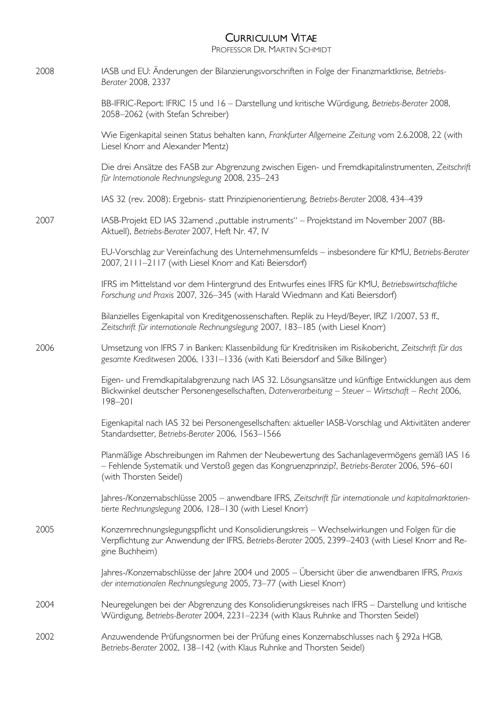PROFESSOR DR. MARTIN SCHMIDT

| 2008 | IASB und EU: Änderungen der Bilanzierungsvorschriften in Folge der Finanzmarktkrise, Betriebs-<br>Berater 2008, 2337                                                                                                   |
|------|------------------------------------------------------------------------------------------------------------------------------------------------------------------------------------------------------------------------|
|      | BB-IFRIC-Report: IFRIC 15 und 16 - Darstellung und kritische Würdigung, Betriebs-Berater 2008,<br>2058-2062 (with Stefan Schreiber)                                                                                    |
|      | Wie Eigenkapital seinen Status behalten kann, Frankfurter Allgemeine Zeitung vom 2.6.2008, 22 (with<br>Liesel Knorr and Alexander Mentz)                                                                               |
|      | Die drei Ansätze des FASB zur Abgrenzung zwischen Eigen- und Fremdkapitalinstrumenten, Zeitschrift<br>für Internationale Rechnungslegung 2008, 235-243                                                                 |
|      | IAS 32 (rev. 2008): Ergebnis- statt Prinzipienorientierung, Betriebs-Berater 2008, 434-439                                                                                                                             |
| 2007 | IASB-Projekt ED IAS 32amend "puttable instruments" - Projektstand im November 2007 (BB-<br>Aktuell), Betriebs-Berater 2007, Heft Nr. 47, IV                                                                            |
|      | EU-Vorschlag zur Vereinfachung des Unternehmensumfelds - insbesondere für KMU, Betriebs-Berater<br>2007, 2111-2117 (with Liesel Knorr and Kati Beiersdorf)                                                             |
|      | IFRS im Mittelstand vor dem Hintergrund des Entwurfes eines IFRS für KMU, Betriebswirtschaftliche<br>Forschung und Praxis 2007, 326-345 (with Harald Wiedmann and Kati Beiersdorf)                                     |
|      | Bilanzielles Eigenkapital von Kreditgenossenschaften. Replik zu Heyd/Beyer, IRZ 1/2007, 53 ff.,<br>Zeitschrift für internationale Rechnungslegung 2007, 183-185 (with Liesel Knorr)                                    |
| 2006 | Umsetzung von IFRS 7 in Banken: Klassenbildung für Kreditrisiken im Risikobericht, Zeitschrift für das<br>gesamte Kreditwesen 2006, 1331–1336 (with Kati Beiersdorf and Silke Billinger)                               |
|      | Eigen- und Fremdkapitalabgrenzung nach IAS 32. Lösungsansätze und künftige Entwicklungen aus dem<br>Blickwinkel deutscher Personengesellschaften, Datenverarbeitung - Steuer - Wirtschaft - Recht 2006,<br>$198 - 201$ |
|      | Eigenkapital nach IAS 32 bei Personengesellschaften: aktueller IASB-Vorschlag und Aktivitäten anderer<br>Standardsetter, Betriebs-Berater 2006, 1563-1566                                                              |
|      | Planmäßige Abschreibungen im Rahmen der Neubewertung des Sachanlagevermögens gemäß IAS 16<br>- Fehlende Systematik und Verstoß gegen das Kongruenzprinzip?, Betriebs-Berater 2006, 596-601<br>(with Thorsten Seidel)   |
|      | Jahres-/Konzernabschlüsse 2005 - anwendbare IFRS, Zeitschrift für internationale und kapitalmarktorien-<br>tierte Rechnungslegung 2006, 128-130 (with Liesel Knorr)                                                    |
| 2005 | Konzernrechnungslegungspflicht und Konsolidierungskreis - Wechselwirkungen und Folgen für die<br>Verpflichtung zur Anwendung der IFRS, Betriebs-Berater 2005, 2399-2403 (with Liesel Knorr and Re-<br>gine Buchheim)   |
|      | Jahres-/Konzernabschlüsse der Jahre 2004 und 2005 – Übersicht über die anwendbaren IFRS, Praxis<br>der internationalen Rechnungslegung 2005, 73-77 (with Liesel Knorr)                                                 |
| 2004 | Neuregelungen bei der Abgrenzung des Konsolidierungskreises nach IFRS - Darstellung und kritische<br>Würdigung, Betriebs-Berater 2004, 2231-2234 (with Klaus Ruhnke and Thorsten Seidel)                               |
| 2002 | Anzuwendende Prüfungsnormen bei der Prüfung eines Konzernabschlusses nach § 292a HGB,<br>Betriebs-Berater 2002, 138-142 (with Klaus Ruhnke and Thorsten Seidel)                                                        |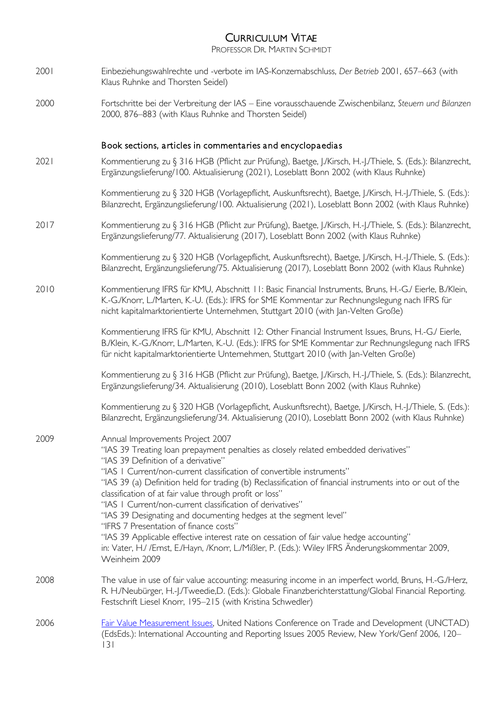PROFESSOR DR. MARTIN SCHMIDT

- 2001 Einbeziehungswahlrechte und -verbote im IAS-Konzernabschluss, *Der Betrieb* 2001, 657–663 (with Klaus Ruhnke and Thorsten Seidel)
- 2000 Fortschritte bei der Verbreitung der IAS Eine vorausschauende Zwischenbilanz, *Steuern und Bilanzen* 2000, 876–883 (with Klaus Ruhnke and Thorsten Seidel)

### Book sections, a rticles in commentaries and encyclopaedias

2021 Kommentierung zu § 316 HGB (Pflicht zur Prüfung), Baetge, J./Kirsch, H.-J./Thiele, S. (Eds.): Bilanzrecht, Ergänzungslieferung/100. Aktualisierung (2021), Loseblatt Bonn 2002 (with Klaus Ruhnke)

> Kommentierung zu § 320 HGB (Vorlagepflicht, Auskunftsrecht), Baetge, J./Kirsch, H.-J./Thiele, S. (Eds.): Bilanzrecht, Ergänzungslieferung/100. Aktualisierung (2021), Loseblatt Bonn 2002 (with Klaus Ruhnke)

2017 Kommentierung zu § 316 HGB (Pflicht zur Prüfung), Baetge, J./Kirsch, H.-J./Thiele, S. (Eds.): Bilanzrecht, Ergänzungslieferung/77. Aktualisierung (2017), Loseblatt Bonn 2002 (with Klaus Ruhnke)

> Kommentierung zu § 320 HGB (Vorlagepflicht, Auskunftsrecht), Baetge, J./Kirsch, H.-J./Thiele, S. (Eds.): Bilanzrecht, Ergänzungslieferung/75. Aktualisierung (2017), Loseblatt Bonn 2002 (with Klaus Ruhnke)

2010 Kommentierung IFRS für KMU, Abschnitt 11: Basic Financial Instruments, Bruns, H.-G./ Eierle, B./Klein, K.-G./Knorr, L./Marten, K.-U. (Eds.): IFRS for SME Kommentar zur Rechnungslegung nach IFRS für nicht kapitalmarktorientierte Unternehmen, Stuttgart 2010 (with Jan-Velten Große)

> Kommentierung IFRS für KMU, Abschnitt 12: Other Financial Instrument Issues, Bruns, H.-G./ Eierle, B./Klein, K.-G./Knorr, L./Marten, K.-U. (Eds.): IFRS for SME Kommentar zur Rechnungslegung nach IFRS für nicht kapitalmarktorientierte Unternehmen, Stuttgart 2010 (with Jan-Velten Große)

> Kommentierung zu § 316 HGB (Pflicht zur Prüfung), Baetge, J./Kirsch, H.-J./Thiele, S. (Eds.): Bilanzrecht, Ergänzungslieferung/34. Aktualisierung (2010), Loseblatt Bonn 2002 (with Klaus Ruhnke)

Kommentierung zu § 320 HGB (Vorlagepflicht, Auskunftsrecht), Baetge, J./Kirsch, H.-J./Thiele, S. (Eds.): Bilanzrecht, Ergänzungslieferung/34. Aktualisierung (2010), Loseblatt Bonn 2002 (with Klaus Ruhnke)

- 2009 Annual Improvements Project 2007 "IAS 39 Treating loan prepayment penalties as closely related embedded derivatives" "IAS 39 Definition of a derivative" "IAS 1 Current/non-current classification of convertible instruments" "IAS 39 (a) Definition held for trading (b) Reclassification of financial instruments into or out of the classification of at fair value through profit or loss" "IAS 1 Current/non-current classification of derivatives" "IAS 39 Designating and documenting hedges at the segment level" "IFRS 7 Presentation of finance costs" "IAS 39 Applicable effective interest rate on cessation of fair value hedge accounting" in: Vater, H./ /Ernst, E./Hayn, /Knorr, L./Mißler, P. (Eds.): Wiley IFRS Änderungskommentar 2009, Weinheim 2009 2008 The value in use of fair value accounting: measuring income in an imperfect world, Bruns, H.-G./Herz, R. H./Neubürger, H.-J./Tweedie,D. (Eds.): Globale Finanzberichterstattung/Global Financial Reporting. Festschrift Liesel Knorr, 195–215 (with Kristina Schwedler) 2006 [Fair Value Measurement Issues,](http://unctad.org/en/Docs/iteteb20057_en.pdf) United Nations Conference on Trade and Development (UNCTAD) (EdsEds.): International Accounting and Reporting Issues 2005 Review, New York/Genf 2006, 120–
	- 131